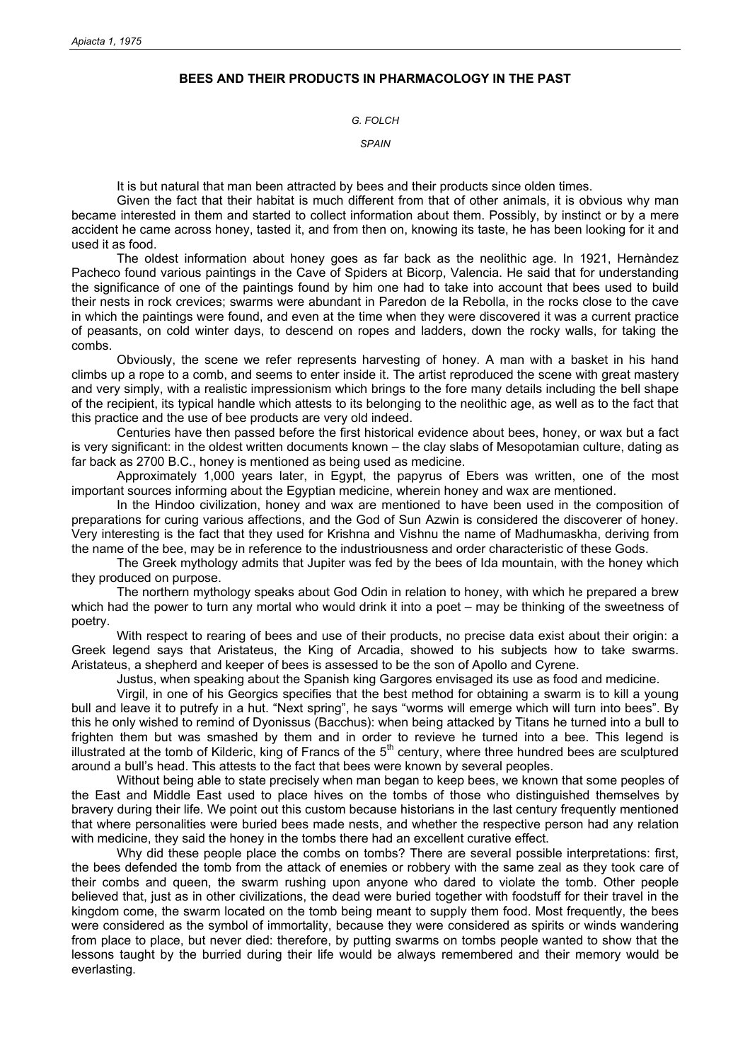## **BEES AND THEIR PRODUCTS IN PHARMACOLOGY IN THE PAST**

## *G. FOLCH*

## *SPAIN*

It is but natural that man been attracted by bees and their products since olden times.

Given the fact that their habitat is much different from that of other animals, it is obvious why man became interested in them and started to collect information about them. Possibly, by instinct or by a mere accident he came across honey, tasted it, and from then on, knowing its taste, he has been looking for it and used it as food.

The oldest information about honey goes as far back as the neolithic age. In 1921, Hernàndez Pacheco found various paintings in the Cave of Spiders at Bicorp, Valencia. He said that for understanding the significance of one of the paintings found by him one had to take into account that bees used to build their nests in rock crevices; swarms were abundant in Paredon de la Rebolla, in the rocks close to the cave in which the paintings were found, and even at the time when they were discovered it was a current practice of peasants, on cold winter days, to descend on ropes and ladders, down the rocky walls, for taking the combs.

Obviously, the scene we refer represents harvesting of honey. A man with a basket in his hand climbs up a rope to a comb, and seems to enter inside it. The artist reproduced the scene with great mastery and very simply, with a realistic impressionism which brings to the fore many details including the bell shape of the recipient, its typical handle which attests to its belonging to the neolithic age, as well as to the fact that this practice and the use of bee products are very old indeed.

Centuries have then passed before the first historical evidence about bees, honey, or wax but a fact is very significant: in the oldest written documents known – the clay slabs of Mesopotamian culture, dating as far back as 2700 B.C., honey is mentioned as being used as medicine.

Approximately 1,000 years later, in Egypt, the papyrus of Ebers was written, one of the most important sources informing about the Egyptian medicine, wherein honey and wax are mentioned.

In the Hindoo civilization, honey and wax are mentioned to have been used in the composition of preparations for curing various affections, and the God of Sun Azwin is considered the discoverer of honey. Very interesting is the fact that they used for Krishna and Vishnu the name of Madhumaskha, deriving from the name of the bee, may be in reference to the industriousness and order characteristic of these Gods.

The Greek mythology admits that Jupiter was fed by the bees of Ida mountain, with the honey which they produced on purpose.

The northern mythology speaks about God Odin in relation to honey, with which he prepared a brew which had the power to turn any mortal who would drink it into a poet – may be thinking of the sweetness of poetry.

With respect to rearing of bees and use of their products, no precise data exist about their origin: a Greek legend says that Aristateus, the King of Arcadia, showed to his subjects how to take swarms. Aristateus, a shepherd and keeper of bees is assessed to be the son of Apollo and Cyrene.

Justus, when speaking about the Spanish king Gargores envisaged its use as food and medicine.

Virgil, in one of his Georgics specifies that the best method for obtaining a swarm is to kill a young bull and leave it to putrefy in a hut. "Next spring", he says "worms will emerge which will turn into bees". By this he only wished to remind of Dyonissus (Bacchus): when being attacked by Titans he turned into a bull to frighten them but was smashed by them and in order to revieve he turned into a bee. This legend is illustrated at the tomb of Kilderic, king of Francs of the  $5<sup>th</sup>$  century, where three hundred bees are sculptured around a bull's head. This attests to the fact that bees were known by several peoples.

Without being able to state precisely when man began to keep bees, we known that some peoples of the East and Middle East used to place hives on the tombs of those who distinguished themselves by bravery during their life. We point out this custom because historians in the last century frequently mentioned that where personalities were buried bees made nests, and whether the respective person had any relation with medicine, they said the honey in the tombs there had an excellent curative effect.

Why did these people place the combs on tombs? There are several possible interpretations: first, the bees defended the tomb from the attack of enemies or robbery with the same zeal as they took care of their combs and queen, the swarm rushing upon anyone who dared to violate the tomb. Other people believed that, just as in other civilizations, the dead were buried together with foodstuff for their travel in the kingdom come, the swarm located on the tomb being meant to supply them food. Most frequently, the bees were considered as the symbol of immortality, because they were considered as spirits or winds wandering from place to place, but never died: therefore, by putting swarms on tombs people wanted to show that the lessons taught by the burried during their life would be always remembered and their memory would be everlasting.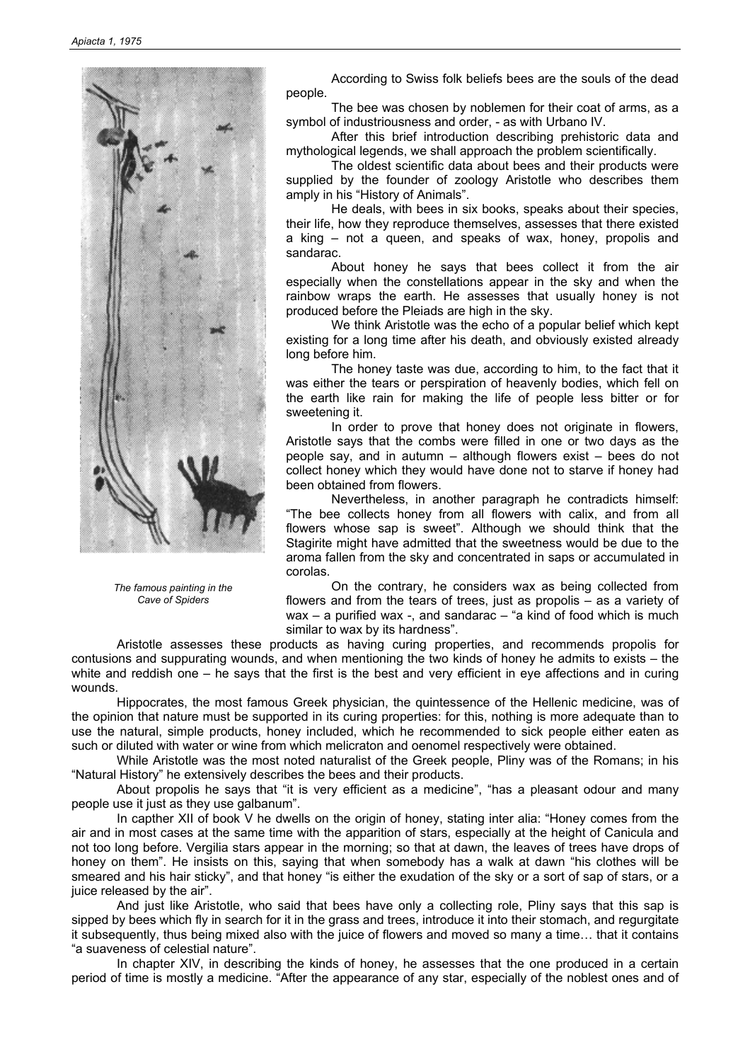

*The famous painting in the Cave of Spiders* 

According to Swiss folk beliefs bees are the souls of the dead people.

The bee was chosen by noblemen for their coat of arms, as a symbol of industriousness and order, - as with Urbano IV.

After this brief introduction describing prehistoric data and mythological legends, we shall approach the problem scientifically.

The oldest scientific data about bees and their products were supplied by the founder of zoology Aristotle who describes them amply in his "History of Animals".

He deals, with bees in six books, speaks about their species, their life, how they reproduce themselves, assesses that there existed a king – not a queen, and speaks of wax, honey, propolis and sandarac.

About honey he says that bees collect it from the air especially when the constellations appear in the sky and when the rainbow wraps the earth. He assesses that usually honey is not produced before the Pleiads are high in the sky.

We think Aristotle was the echo of a popular belief which kept existing for a long time after his death, and obviously existed already long before him.

The honey taste was due, according to him, to the fact that it was either the tears or perspiration of heavenly bodies, which fell on the earth like rain for making the life of people less bitter or for sweetening it.

In order to prove that honey does not originate in flowers, Aristotle says that the combs were filled in one or two days as the people say, and in autumn – although flowers exist – bees do not collect honey which they would have done not to starve if honey had been obtained from flowers.

Nevertheless, in another paragraph he contradicts himself: "The bee collects honey from all flowers with calix, and from all flowers whose sap is sweet". Although we should think that the Stagirite might have admitted that the sweetness would be due to the aroma fallen from the sky and concentrated in saps or accumulated in corolas.

On the contrary, he considers wax as being collected from flowers and from the tears of trees, just as propolis – as a variety of wax  $-$  a purified wax  $-$ , and sandarac  $-$  "a kind of food which is much similar to wax by its hardness".

Aristotle assesses these products as having curing properties, and recommends propolis for contusions and suppurating wounds, and when mentioning the two kinds of honey he admits to exists – the white and reddish one – he says that the first is the best and very efficient in eye affections and in curing wounds.

Hippocrates, the most famous Greek physician, the quintessence of the Hellenic medicine, was of the opinion that nature must be supported in its curing properties: for this, nothing is more adequate than to use the natural, simple products, honey included, which he recommended to sick people either eaten as such or diluted with water or wine from which melicraton and oenomel respectively were obtained.

While Aristotle was the most noted naturalist of the Greek people, Pliny was of the Romans; in his "Natural History" he extensively describes the bees and their products.

About propolis he says that "it is very efficient as a medicine", "has a pleasant odour and many people use it just as they use galbanum".

In capther XII of book V he dwells on the origin of honey, stating inter alia: "Honey comes from the air and in most cases at the same time with the apparition of stars, especially at the height of Canicula and not too long before. Vergilia stars appear in the morning; so that at dawn, the leaves of trees have drops of honey on them". He insists on this, saying that when somebody has a walk at dawn "his clothes will be smeared and his hair sticky", and that honey "is either the exudation of the sky or a sort of sap of stars, or a juice released by the air".

And just like Aristotle, who said that bees have only a collecting role, Pliny says that this sap is sipped by bees which fly in search for it in the grass and trees, introduce it into their stomach, and regurgitate it subsequently, thus being mixed also with the juice of flowers and moved so many a time… that it contains "a suaveness of celestial nature".

In chapter XIV, in describing the kinds of honey, he assesses that the one produced in a certain period of time is mostly a medicine. "After the appearance of any star, especially of the noblest ones and of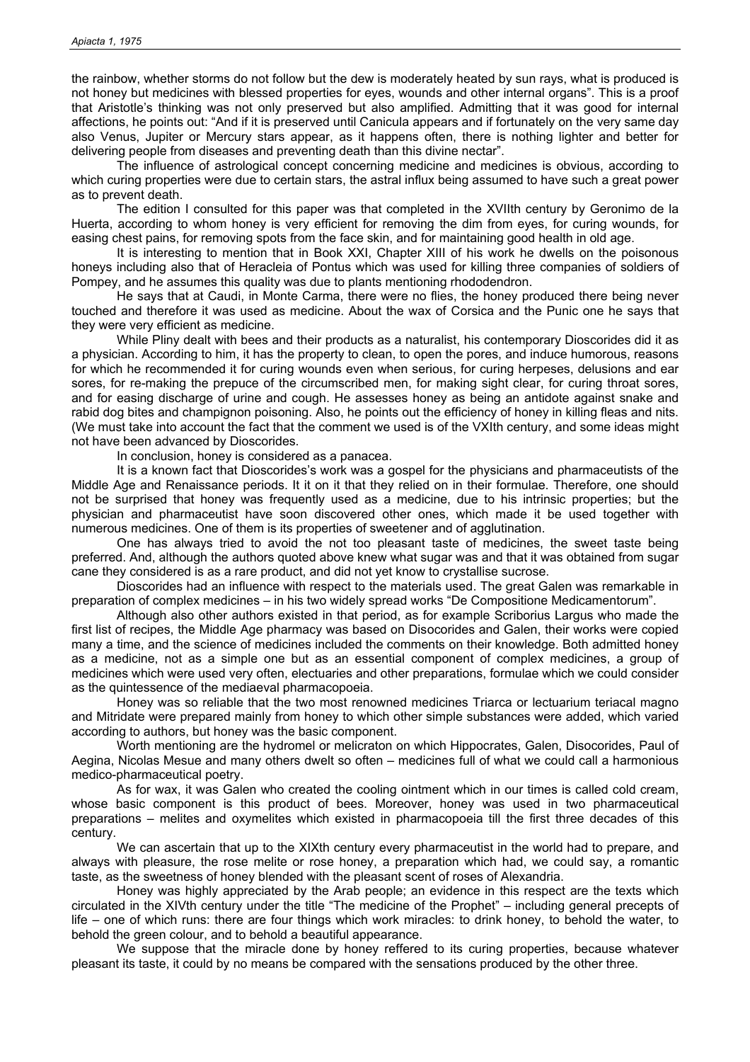the rainbow, whether storms do not follow but the dew is moderately heated by sun rays, what is produced is not honey but medicines with blessed properties for eyes, wounds and other internal organs". This is a proof that Aristotle's thinking was not only preserved but also amplified. Admitting that it was good for internal affections, he points out: "And if it is preserved until Canicula appears and if fortunately on the very same day also Venus, Jupiter or Mercury stars appear, as it happens often, there is nothing lighter and better for delivering people from diseases and preventing death than this divine nectar".

The influence of astrological concept concerning medicine and medicines is obvious, according to which curing properties were due to certain stars, the astral influx being assumed to have such a great power as to prevent death.

The edition I consulted for this paper was that completed in the XVIIth century by Geronimo de la Huerta, according to whom honey is very efficient for removing the dim from eyes, for curing wounds, for easing chest pains, for removing spots from the face skin, and for maintaining good health in old age.

It is interesting to mention that in Book XXI, Chapter XIII of his work he dwells on the poisonous honeys including also that of Heracleia of Pontus which was used for killing three companies of soldiers of Pompey, and he assumes this quality was due to plants mentioning rhododendron.

He says that at Caudi, in Monte Carma, there were no flies, the honey produced there being never touched and therefore it was used as medicine. About the wax of Corsica and the Punic one he says that they were very efficient as medicine.

While Pliny dealt with bees and their products as a naturalist, his contemporary Dioscorides did it as a physician. According to him, it has the property to clean, to open the pores, and induce humorous, reasons for which he recommended it for curing wounds even when serious, for curing herpeses, delusions and ear sores, for re-making the prepuce of the circumscribed men, for making sight clear, for curing throat sores, and for easing discharge of urine and cough. He assesses honey as being an antidote against snake and rabid dog bites and champignon poisoning. Also, he points out the efficiency of honey in killing fleas and nits. (We must take into account the fact that the comment we used is of the VXIth century, and some ideas might not have been advanced by Dioscorides.

In conclusion, honey is considered as a panacea.

It is a known fact that Dioscorides's work was a gospel for the physicians and pharmaceutists of the Middle Age and Renaissance periods. It it on it that they relied on in their formulae. Therefore, one should not be surprised that honey was frequently used as a medicine, due to his intrinsic properties; but the physician and pharmaceutist have soon discovered other ones, which made it be used together with numerous medicines. One of them is its properties of sweetener and of agglutination.

One has always tried to avoid the not too pleasant taste of medicines, the sweet taste being preferred. And, although the authors quoted above knew what sugar was and that it was obtained from sugar cane they considered is as a rare product, and did not yet know to crystallise sucrose.

Dioscorides had an influence with respect to the materials used. The great Galen was remarkable in preparation of complex medicines – in his two widely spread works "De Compositione Medicamentorum".

Although also other authors existed in that period, as for example Scriborius Largus who made the first list of recipes, the Middle Age pharmacy was based on Disocorides and Galen, their works were copied many a time, and the science of medicines included the comments on their knowledge. Both admitted honey as a medicine, not as a simple one but as an essential component of complex medicines, a group of medicines which were used very often, electuaries and other preparations, formulae which we could consider as the quintessence of the mediaeval pharmacopoeia.

Honey was so reliable that the two most renowned medicines Triarca or lectuarium teriacal magno and Mitridate were prepared mainly from honey to which other simple substances were added, which varied according to authors, but honey was the basic component.

Worth mentioning are the hydromel or melicraton on which Hippocrates, Galen, Disocorides, Paul of Aegina, Nicolas Mesue and many others dwelt so often – medicines full of what we could call a harmonious medico-pharmaceutical poetry.

As for wax, it was Galen who created the cooling ointment which in our times is called cold cream, whose basic component is this product of bees. Moreover, honey was used in two pharmaceutical preparations – melites and oxymelites which existed in pharmacopoeia till the first three decades of this century.

We can ascertain that up to the XIXth century every pharmaceutist in the world had to prepare, and always with pleasure, the rose melite or rose honey, a preparation which had, we could say, a romantic taste, as the sweetness of honey blended with the pleasant scent of roses of Alexandria.

Honey was highly appreciated by the Arab people; an evidence in this respect are the texts which circulated in the XIVth century under the title "The medicine of the Prophet" – including general precepts of life – one of which runs: there are four things which work miracles: to drink honey, to behold the water, to behold the green colour, and to behold a beautiful appearance.

We suppose that the miracle done by honey reffered to its curing properties, because whatever pleasant its taste, it could by no means be compared with the sensations produced by the other three.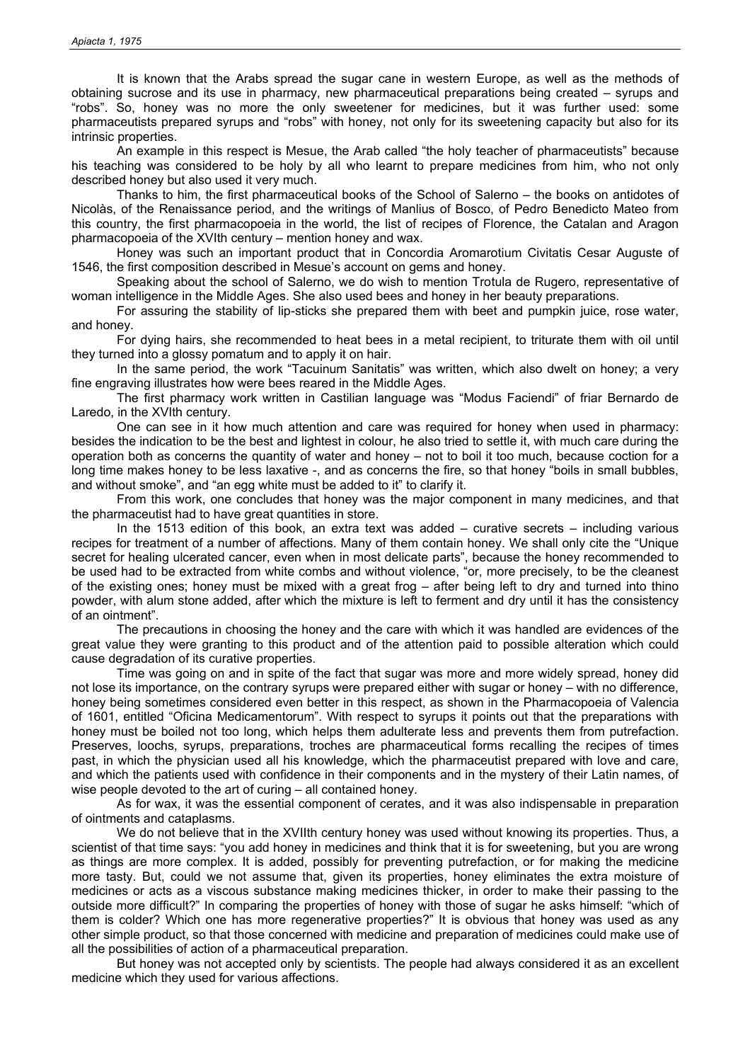It is known that the Arabs spread the sugar cane in western Europe, as well as the methods of obtaining sucrose and its use in pharmacy, new pharmaceutical preparations being created – syrups and "robs". So, honey was no more the only sweetener for medicines, but it was further used: some pharmaceutists prepared syrups and "robs" with honey, not only for its sweetening capacity but also for its intrinsic properties.

An example in this respect is Mesue, the Arab called "the holy teacher of pharmaceutists" because his teaching was considered to be holy by all who learnt to prepare medicines from him, who not only described honey but also used it very much.

Thanks to him, the first pharmaceutical books of the School of Salerno – the books on antidotes of Nicolàs, of the Renaissance period, and the writings of Manlius of Bosco, of Pedro Benedicto Mateo from this country, the first pharmacopoeia in the world, the list of recipes of Florence, the Catalan and Aragon pharmacopoeia of the XVIth century – mention honey and wax.

Honey was such an important product that in Concordia Aromarotium Civitatis Cesar Auguste of 1546, the first composition described in Mesue's account on gems and honey.

Speaking about the school of Salerno, we do wish to mention Trotula de Rugero, representative of woman intelligence in the Middle Ages. She also used bees and honey in her beauty preparations.

For assuring the stability of lip-sticks she prepared them with beet and pumpkin juice, rose water, and honey.

For dying hairs, she recommended to heat bees in a metal recipient, to triturate them with oil until they turned into a glossy pomatum and to apply it on hair.

In the same period, the work "Tacuinum Sanitatis" was written, which also dwelt on honey; a very fine engraving illustrates how were bees reared in the Middle Ages.

The first pharmacy work written in Castilian language was "Modus Faciendi" of friar Bernardo de Laredo, in the XVIth century.

One can see in it how much attention and care was required for honey when used in pharmacy: besides the indication to be the best and lightest in colour, he also tried to settle it, with much care during the operation both as concerns the quantity of water and honey – not to boil it too much, because coction for a long time makes honey to be less laxative -, and as concerns the fire, so that honey "boils in small bubbles, and without smoke", and "an egg white must be added to it" to clarify it.

From this work, one concludes that honey was the major component in many medicines, and that the pharmaceutist had to have great quantities in store.

In the 1513 edition of this book, an extra text was added – curative secrets – including various recipes for treatment of a number of affections. Many of them contain honey. We shall only cite the "Unique secret for healing ulcerated cancer, even when in most delicate parts", because the honey recommended to be used had to be extracted from white combs and without violence, "or, more precisely, to be the cleanest of the existing ones; honey must be mixed with a great frog – after being left to dry and turned into thino powder, with alum stone added, after which the mixture is left to ferment and dry until it has the consistency of an ointment".

The precautions in choosing the honey and the care with which it was handled are evidences of the great value they were granting to this product and of the attention paid to possible alteration which could cause degradation of its curative properties.

Time was going on and in spite of the fact that sugar was more and more widely spread, honey did not lose its importance, on the contrary syrups were prepared either with sugar or honey – with no difference, honey being sometimes considered even better in this respect, as shown in the Pharmacopoeia of Valencia of 1601, entitled "Oficina Medicamentorum". With respect to syrups it points out that the preparations with honey must be boiled not too long, which helps them adulterate less and prevents them from putrefaction. Preserves, loochs, syrups, preparations, troches are pharmaceutical forms recalling the recipes of times past, in which the physician used all his knowledge, which the pharmaceutist prepared with love and care, and which the patients used with confidence in their components and in the mystery of their Latin names, of wise people devoted to the art of curing – all contained honey.

As for wax, it was the essential component of cerates, and it was also indispensable in preparation of ointments and cataplasms.

We do not believe that in the XVIIth century honey was used without knowing its properties. Thus, a scientist of that time says: "you add honey in medicines and think that it is for sweetening, but you are wrong as things are more complex. It is added, possibly for preventing putrefaction, or for making the medicine more tasty. But, could we not assume that, given its properties, honey eliminates the extra moisture of medicines or acts as a viscous substance making medicines thicker, in order to make their passing to the outside more difficult?" In comparing the properties of honey with those of sugar he asks himself: "which of them is colder? Which one has more regenerative properties?" It is obvious that honey was used as any other simple product, so that those concerned with medicine and preparation of medicines could make use of all the possibilities of action of a pharmaceutical preparation.

But honey was not accepted only by scientists. The people had always considered it as an excellent medicine which they used for various affections.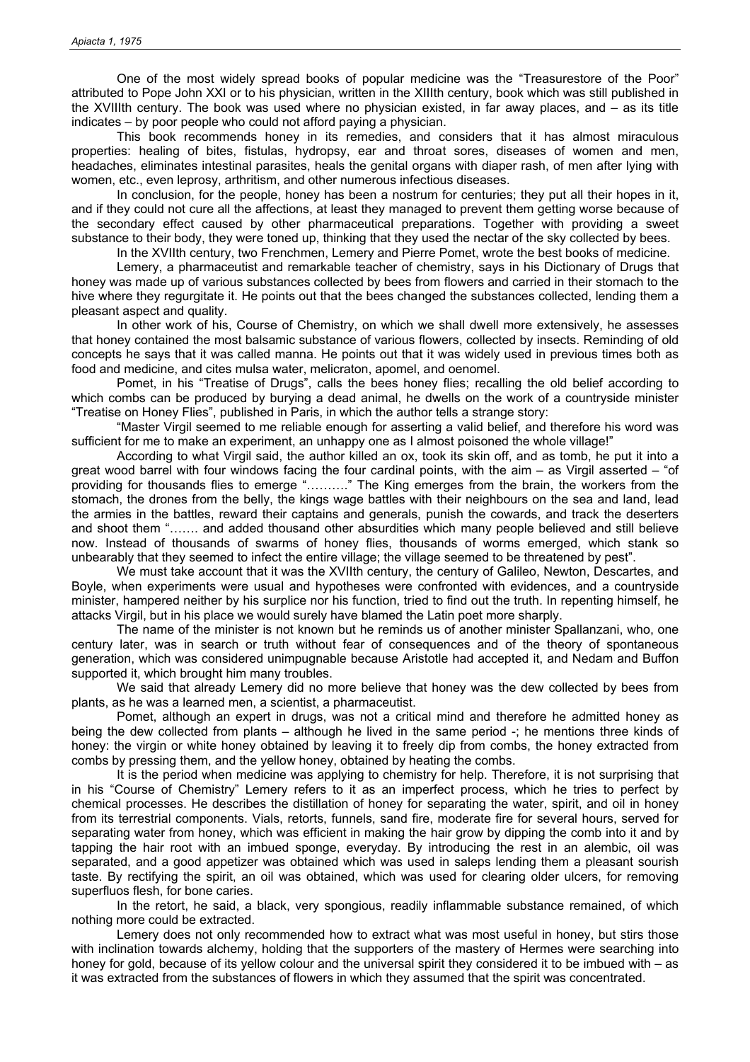One of the most widely spread books of popular medicine was the "Treasurestore of the Poor" attributed to Pope John XXI or to his physician, written in the XIIIth century, book which was still published in the XVIIIth century. The book was used where no physician existed, in far away places, and – as its title indicates – by poor people who could not afford paying a physician.

This book recommends honey in its remedies, and considers that it has almost miraculous properties: healing of bites, fistulas, hydropsy, ear and throat sores, diseases of women and men, headaches, eliminates intestinal parasites, heals the genital organs with diaper rash, of men after lying with women, etc., even leprosy, arthritism, and other numerous infectious diseases.

In conclusion, for the people, honey has been a nostrum for centuries; they put all their hopes in it, and if they could not cure all the affections, at least they managed to prevent them getting worse because of the secondary effect caused by other pharmaceutical preparations. Together with providing a sweet substance to their body, they were toned up, thinking that they used the nectar of the sky collected by bees.

In the XVIIth century, two Frenchmen, Lemery and Pierre Pomet, wrote the best books of medicine.

Lemery, a pharmaceutist and remarkable teacher of chemistry, says in his Dictionary of Drugs that honey was made up of various substances collected by bees from flowers and carried in their stomach to the hive where they regurgitate it. He points out that the bees changed the substances collected, lending them a pleasant aspect and quality.

In other work of his, Course of Chemistry, on which we shall dwell more extensively, he assesses that honey contained the most balsamic substance of various flowers, collected by insects. Reminding of old concepts he says that it was called manna. He points out that it was widely used in previous times both as food and medicine, and cites mulsa water, melicraton, apomel, and oenomel.

Pomet, in his "Treatise of Drugs", calls the bees honey flies; recalling the old belief according to which combs can be produced by burying a dead animal, he dwells on the work of a countryside minister "Treatise on Honey Flies", published in Paris, in which the author tells a strange story:

"Master Virgil seemed to me reliable enough for asserting a valid belief, and therefore his word was sufficient for me to make an experiment, an unhappy one as I almost poisoned the whole village!"

According to what Virgil said, the author killed an ox, took its skin off, and as tomb, he put it into a great wood barrel with four windows facing the four cardinal points, with the aim – as Virgil asserted – "of providing for thousands flies to emerge "………." The King emerges from the brain, the workers from the stomach, the drones from the belly, the kings wage battles with their neighbours on the sea and land, lead the armies in the battles, reward their captains and generals, punish the cowards, and track the deserters and shoot them "……. and added thousand other absurdities which many people believed and still believe now. Instead of thousands of swarms of honey flies, thousands of worms emerged, which stank so unbearably that they seemed to infect the entire village; the village seemed to be threatened by pest".

We must take account that it was the XVIIth century, the century of Galileo, Newton, Descartes, and Boyle, when experiments were usual and hypotheses were confronted with evidences, and a countryside minister, hampered neither by his surplice nor his function, tried to find out the truth. In repenting himself, he attacks Virgil, but in his place we would surely have blamed the Latin poet more sharply.

The name of the minister is not known but he reminds us of another minister Spallanzani, who, one century later, was in search or truth without fear of consequences and of the theory of spontaneous generation, which was considered unimpugnable because Aristotle had accepted it, and Nedam and Buffon supported it, which brought him many troubles.

We said that already Lemery did no more believe that honey was the dew collected by bees from plants, as he was a learned men, a scientist, a pharmaceutist.

Pomet, although an expert in drugs, was not a critical mind and therefore he admitted honey as being the dew collected from plants – although he lived in the same period -; he mentions three kinds of honey: the virgin or white honey obtained by leaving it to freely dip from combs, the honey extracted from combs by pressing them, and the yellow honey, obtained by heating the combs.

It is the period when medicine was applying to chemistry for help. Therefore, it is not surprising that in his "Course of Chemistry" Lemery refers to it as an imperfect process, which he tries to perfect by chemical processes. He describes the distillation of honey for separating the water, spirit, and oil in honey from its terrestrial components. Vials, retorts, funnels, sand fire, moderate fire for several hours, served for separating water from honey, which was efficient in making the hair grow by dipping the comb into it and by tapping the hair root with an imbued sponge, everyday. By introducing the rest in an alembic, oil was separated, and a good appetizer was obtained which was used in saleps lending them a pleasant sourish taste. By rectifying the spirit, an oil was obtained, which was used for clearing older ulcers, for removing superfluos flesh, for bone caries.

In the retort, he said, a black, very spongious, readily inflammable substance remained, of which nothing more could be extracted.

Lemery does not only recommended how to extract what was most useful in honey, but stirs those with inclination towards alchemy, holding that the supporters of the mastery of Hermes were searching into honey for gold, because of its yellow colour and the universal spirit they considered it to be imbued with – as it was extracted from the substances of flowers in which they assumed that the spirit was concentrated.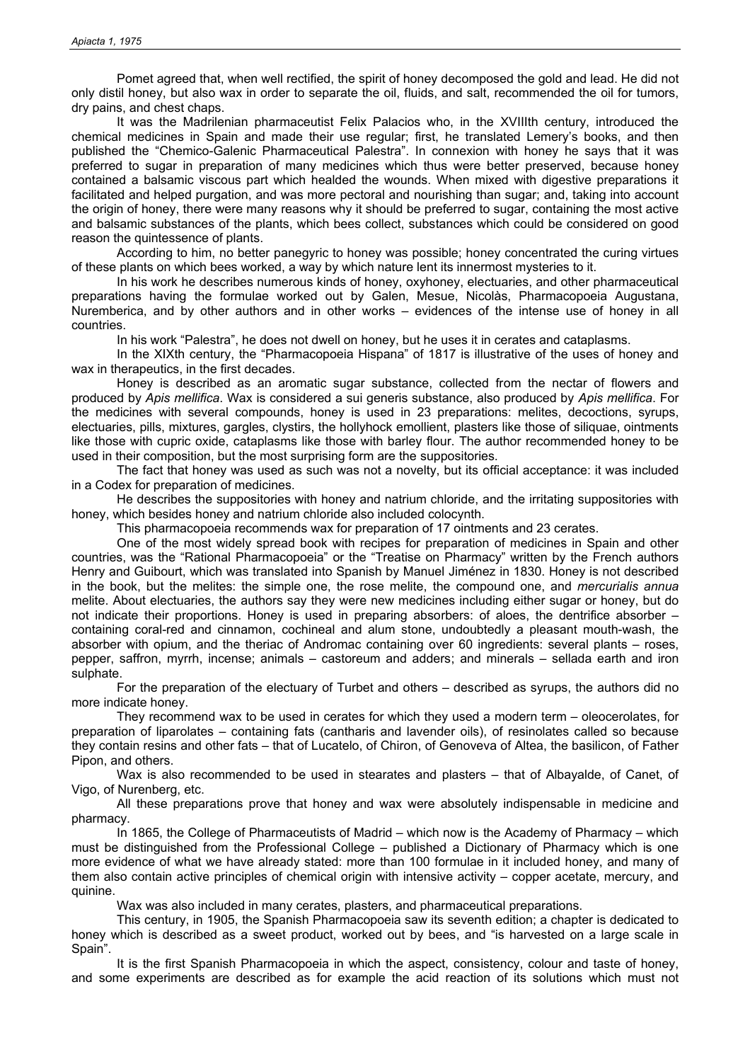Pomet agreed that, when well rectified, the spirit of honey decomposed the gold and lead. He did not only distil honey, but also wax in order to separate the oil, fluids, and salt, recommended the oil for tumors, dry pains, and chest chaps.

It was the Madrilenian pharmaceutist Felix Palacios who, in the XVIIIth century, introduced the chemical medicines in Spain and made their use regular; first, he translated Lemery's books, and then published the "Chemico-Galenic Pharmaceutical Palestra". In connexion with honey he says that it was preferred to sugar in preparation of many medicines which thus were better preserved, because honey contained a balsamic viscous part which healded the wounds. When mixed with digestive preparations it facilitated and helped purgation, and was more pectoral and nourishing than sugar; and, taking into account the origin of honey, there were many reasons why it should be preferred to sugar, containing the most active and balsamic substances of the plants, which bees collect, substances which could be considered on good reason the quintessence of plants.

According to him, no better panegyric to honey was possible; honey concentrated the curing virtues of these plants on which bees worked, a way by which nature lent its innermost mysteries to it.

In his work he describes numerous kinds of honey, oxyhoney, electuaries, and other pharmaceutical preparations having the formulae worked out by Galen, Mesue, Nicolàs, Pharmacopoeia Augustana, Nuremberica, and by other authors and in other works – evidences of the intense use of honey in all countries.

In his work "Palestra", he does not dwell on honey, but he uses it in cerates and cataplasms.

In the XIXth century, the "Pharmacopoeia Hispana" of 1817 is illustrative of the uses of honey and wax in therapeutics, in the first decades.

Honey is described as an aromatic sugar substance, collected from the nectar of flowers and produced by *Apis mellifica*. Wax is considered a sui generis substance, also produced by *Apis mellifica*. For the medicines with several compounds, honey is used in 23 preparations: melites, decoctions, syrups, electuaries, pills, mixtures, gargles, clystirs, the hollyhock emollient, plasters like those of siliquae, ointments like those with cupric oxide, cataplasms like those with barley flour. The author recommended honey to be used in their composition, but the most surprising form are the suppositories.

The fact that honey was used as such was not a novelty, but its official acceptance: it was included in a Codex for preparation of medicines.

He describes the suppositories with honey and natrium chloride, and the irritating suppositories with honey, which besides honey and natrium chloride also included colocynth.

This pharmacopoeia recommends wax for preparation of 17 ointments and 23 cerates.

One of the most widely spread book with recipes for preparation of medicines in Spain and other countries, was the "Rational Pharmacopoeia" or the "Treatise on Pharmacy" written by the French authors Henry and Guibourt, which was translated into Spanish by Manuel Jiménez in 1830. Honey is not described in the book, but the melites: the simple one, the rose melite, the compound one, and *mercurialis annua* melite. About electuaries, the authors say they were new medicines including either sugar or honey, but do not indicate their proportions. Honey is used in preparing absorbers: of aloes, the dentrifice absorber – containing coral-red and cinnamon, cochineal and alum stone, undoubtedly a pleasant mouth-wash, the absorber with opium, and the theriac of Andromac containing over 60 ingredients: several plants – roses, pepper, saffron, myrrh, incense; animals – castoreum and adders; and minerals – sellada earth and iron sulphate.

For the preparation of the electuary of Turbet and others – described as syrups, the authors did no more indicate honey.

They recommend wax to be used in cerates for which they used a modern term – oleocerolates, for preparation of liparolates – containing fats (cantharis and lavender oils), of resinolates called so because they contain resins and other fats – that of Lucatelo, of Chiron, of Genoveva of Altea, the basilicon, of Father Pipon, and others.

Wax is also recommended to be used in stearates and plasters – that of Albayalde, of Canet, of Vigo, of Nurenberg, etc.

All these preparations prove that honey and wax were absolutely indispensable in medicine and pharmacy.

In 1865, the College of Pharmaceutists of Madrid – which now is the Academy of Pharmacy – which must be distinguished from the Professional College – published a Dictionary of Pharmacy which is one more evidence of what we have already stated: more than 100 formulae in it included honey, and many of them also contain active principles of chemical origin with intensive activity – copper acetate, mercury, and quinine.

Wax was also included in many cerates, plasters, and pharmaceutical preparations.

This century, in 1905, the Spanish Pharmacopoeia saw its seventh edition; a chapter is dedicated to honey which is described as a sweet product, worked out by bees, and "is harvested on a large scale in Spain".

It is the first Spanish Pharmacopoeia in which the aspect, consistency, colour and taste of honey, and some experiments are described as for example the acid reaction of its solutions which must not